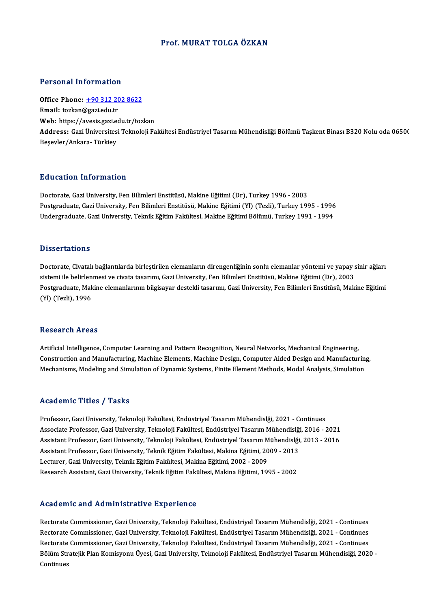## Prof.MURAT TOLGA ÖZKAN

### Personal Information

Personal Information<br>Office Phone: <u>+90 312 202 8622</u><br>Email: torken@sari.edu.tr Processing internation.<br>
Office Phone: <u>+90 312 20</u><br>
Email: tozkan@gazi.edu.tr Office Phone: <u>+90 312 202 8622</u><br>Email: tozkan@gazi.edu.tr<br>Web: https://a[vesis.gazi.edu.tr/toz](tel:+90 312 202 8622)kan<br>Addressy Cari Üniversitesi Telmoleji Fa **Email:** tozkan@gazi.edu.tr<br>Web: https://avesis.gazi.edu.tr/tozkan<br>**Address:** Gazi Üniversitesi Teknoloji Fakültesi Endüstriyel Tasarım Mühendisliği Bölümü Taşkent Binası B320 Nolu oda 0650(<br>Besevler/Ankara- Türkiey Web: https://avesis.gazi.e<br>Address: Gazi Üniversites<br>Beşevler/Ankara- Türkiey

# Education Information

**Education Information<br>Doctorate, Gazi University, Fen Bilimleri Enstitüsü, Makine Eğitimi (Dr), Turkey 1996 - 2003<br>Bostanaduate, Cazi University, Fen Bilimleri Enstitüsü, Makine Eğitimi (VI) (Tegli), Turkey 196** Pu u sutron "Informution"<br>Doctorate, Gazi University, Fen Bilimleri Enstitüsü, Makine Eğitimi (Dr), Turkey 1996 - 2003<br>Postgraduate, Gazi University, Fen Bilimleri Enstitüsü, Makine Eğitimi (Yl) (Tezli), Turkey 1995 - 1996 Postgraduate, Gazi University, Fen Bilimleri Enstitüsü, Makine Eğitimi (Yl) (Tezli), Turkey 1995 - 1996<br>Undergraduate, Gazi University, Teknik Eğitim Fakültesi, Makine Eğitimi Bölümü, Turkey 1991 - 1994

### **Dissertations**

Dissertations<br>Doctorate, Civatalı bağlantılarda birleştirilen elemanların direngenliğinin sonlu elemanlar yöntemi ve yapay sinir ağları<br>sistemi ile belirlenmesi ve siyata taşarımı, Cari University, Fen Bilimleri Enstitüsü, sissesi tationis<br>Doctorate, Civatalı bağlantılarda birleştirilen elemanların direngenliğinin sonlu elemanlar yöntemi ve yapay s<br>Sistemi ile belirlenmesi ve civata tasarımı, Gazi University, Fen Bilimleri Enstitüsü, Makine Doctorate, Civatalı bağlantılarda birleştirilen elemanların direngenliğinin sonlu elemanlar yöntemi ve yapay sinir ağları<br>sistemi ile belirlenmesi ve civata tasarımı, Gazi University, Fen Bilimleri Enstitüsü, Makine Eğitim sistemi ile belirlenmesi ve civata tasarımı, Gazi University, Fen Bilimleri Enstitüsü, Makine Eğitimi (Dr), 2003<br>Postgraduate, Makine elemanlarının bilgisayar destekli tasarımı, Gazi University, Fen Bilimleri Enstitüsü, Ma

### Research Areas

Artificial Intelligence, Computer Learning and Pattern Recognition, Neural Networks, Mechanical Engineering, resear on 111 025<br>Artificial Intelligence, Computer Learning and Pattern Recognition, Neural Networks, Mechanical Engineering,<br>Construction and Manufacturing, Machine Elements, Machine Design, Computer Aided Design and Man Artificial Intelligence, Computer Learning and Pattern Recognition, Neural Networks, Mechanical Engineering,<br>Construction and Manufacturing, Machine Elements, Machine Design, Computer Aided Design and Manufacturin;<br>Mechani Mechanisms, Modeling and Simulation of Dynamic Systems, Finite Element Methods, Modal Analysis, Simulation<br>Academic Titles / Tasks

Professor, Gazi University, Teknoloji Fakültesi, Endüstriyel Tasarım Mühendislği, 2021 - Continues Associate Articus 7 Aasku<br>Professor, Gazi University, Teknoloji Fakültesi, Endüstriyel Tasarım Mühendislği, 2021 - Continues<br>Associate Professor, Gazi University, Teknoloji Fakültesi, Endüstriyel Tasarım Mühendislği, 2016 Professor, Gazi University, Teknoloji Fakültesi, Endüstriyel Tasarım Mühendislği, 2021 - Continues<br>Associate Professor, Gazi University, Teknoloji Fakültesi, Endüstriyel Tasarım Mühendislği, 2016 - 2021<br>Assistant Professor Associate Professor, Gazi University, Teknoloji Fakültesi, Endüstriyel Tasarım Mühendislği<br>Assistant Professor, Gazi University, Teknoloji Fakültesi, Endüstriyel Tasarım Mühendislği<br>Assistant Professor, Gazi University, Te Assistant Professor, Gazi University, Teknoloji Fakültesi, Endüstriyel Tasarım Mühendislği, 2013 - 2016<br>Assistant Professor, Gazi University, Teknik Eğitim Fakültesi, Makina Eğitimi, 2009 - 2013<br>Lecturer, Gazi University, Assistant Professor, Gazi University, Teknik Eğitim Fakültesi, Makina Eğitimi, 2009 - 2013

## Academic and Administrative Experience

Rectorate Commissioner, Gazi University, Teknoloji Fakültesi, Endüstriyel Tasarım Mühendislği, 2021 - Continues ricuu cimre unu frumministi utry cimp officinec<br>Rectorate Commissioner, Gazi University, Teknoloji Fakültesi, Endüstriyel Tasarım Mühendislği, 2021 - Continues<br>Rectorate Commissioner, Gazi University, Teknoloji Fakültesi, Rectorate Commissioner, Gazi University, Teknoloji Fakültesi, Endüstriyel Tasarım Mühendislği, 2021 - Continues<br>Rectorate Commissioner, Gazi University, Teknoloji Fakültesi, Endüstriyel Tasarım Mühendislği, 2021 - Continue Rectorate Commissioner, Gazi University, Teknoloji Fakültesi, Endüstriyel Tasarım Mühendislği, 2021 - Continues<br>Rectorate Commissioner, Gazi University, Teknoloji Fakültesi, Endüstriyel Tasarım Mühendislği, 2021 - Continue Rectorate<br>Bölüm Str<br>Continues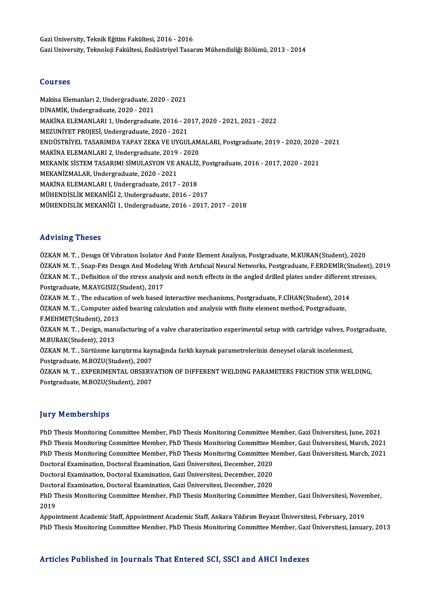GaziUniversity,TeknikEğitimFakültesi,2016 -2016 GaziUniversity,TeknolojiFakültesi,EndüstriyelTasarımMühendisliğiBölümü,2013 -2014

## Courses

Courses<br>Makina Elemanları 2, Undergraduate, 2020 - 2021<br>DİNAMİK, Undergraduate, 2020 - 2021 DOUTSSS<br>Makina Elemanları 2, Undergraduate, 20<br>DİNAMİK, Undergraduate, 2020 - 2021<br>MAKİNA ELEMANI APL1, Undergraduat Makina Elemanları 2, Undergraduate, 2020 - 2021<br>DİNAMİK, Undergraduate, 2020 - 2021<br>MAKİNA ELEMANLARI 1, Undergraduate, 2016 - 2017, 2020 - 2021, 2021 - 2022<br>MEZUNİVET PROJESİ, Undergraduate, 2020, -2021 DİNAMİK, Undergraduate, 2020 - 2021<br>MAKİNA ELEMANLARI 1, Undergraduate, 2016 - 20<br>MEZUNİYET PROJESİ, Undergraduate, 2020 - 2021<br>ENDÜSTRİYEL TASARIMDA YARAY ZEKA VE UYCUL MAKİNA ELEMANLARI 1, Undergraduate, 2016 - 2017, 2020 - 2021, 2021 - 2022<br>MEZUNİYET PROJESİ, Undergraduate, 2020 - 2021<br>ENDÜSTRİYEL TASARIMDA YAPAY ZEKA VE UYGULAMALARI, Postgraduate, 2019 - 2020, 2020 - 2021<br>MAKİNA ELEMAN MEZUNİYET PROJESİ, Undergraduate, 2020 - 2021<br>ENDÜSTRİYEL TASARIMDA YAPAY ZEKA VE UYGULAM<br>MAKİNA ELEMANLARI 2, Undergraduate, 2019 - 2020<br>MEKANİK SİSTEM TASARIMI SİMIL ASYON VE ANALİZ ENDÜSTRİYEL TASARIMDA YAPAY ZEKA VE UYGULAMALARI, Postgraduate, 2019 - 2020, 2020 -<br>MAKİNA ELEMANLARI 2, Undergraduate, 2019 - 2020<br>MEKANİK SİSTEM TASARIMI SİMULASYON VE ANALİZ, Postgraduate, 2016 - 2017, 2020 - 2021<br>MEKAN MAKİNA ELEMANLARI 2, Undergraduate, 2019 - 2020<br>MEKANİK SİSTEM TASARIMI SİMULASYON VE ANALİZ<br>MEKANİZMALAR, Undergraduate, 2020 - 2021<br>MAKİNA ELEMANLARI I, Undergraduate, 2017 - 2018 MEKANİK SİSTEM TASARIMI SİMULASYON VE ANALİZ, Postgraduate, 2016 - 2017, 2020 - 2021 MÜHENDİSLİKMEKANİĞİ2,Undergraduate,2016 -2017 MÜHENDİSLİKMEKANİĞİ1,Undergraduate,2016 -2017,2017 -2018

# Advising Theses

ÖZKAN M.T., Design Of Vibration Isolator And Finite Element Analysis, Postgraduate, M.KURAN(Student), 2020 TER VISING I HOSSES<br>ÖZKAN M. T. , Design Of Vibration Isolator And Finite Element Analysis, Postgraduate, M.KURAN(Student), 2020<br>ÖZKAN M. T. , Snap-Fits Design And Modeling With Artificial Neural Networks, Postgraduate, F. ÖZKAN M. T. , Design Of Vibration Isolator And Finite Element Analysis, Postgraduate, M.KURAN(Student), 2020<br>ÖZKAN M. T. , Snap-Fits Design And Modeling With Artificial Neural Networks, Postgraduate, F.ERDEMİR(Student), 2<br> ÖZKAN M. T. , Snap-Fits Design And Modeli<br>ÖZKAN M. T. , Definition of the stress analy:<br>Postgraduate, M.KAYGISIZ(Student), 2017<br>ÖZKAN M. T. , The education of uph besed. ÖZKAN M. T. , Definition of the stress analysis and notch effects in the angled drilled plates under different stresses,<br>Postgraduate, M.KAYGISIZ(Student), 2017<br>ÖZKAN M. T. , The education of web based interactive mechanis Postgraduate, M.KAYGISIZ(Student), 2017<br>ÖZKAN M. T. , The education of web based interactive mechanisms, Postgraduate, F.CİHAN(Student), 2014<br>ÖZKAN M. T. , Computer aided bearing calculation and analysis with finite elemen ÖZKAN M. T. , The educatior<br>ÖZKAN M. T. , Computer aid<br>F.MEHMET(Student), 2013<br>ÖZKAN M. T. , Design, manu ÖZKAN M. T. , Design, manufacturing of a valve charaterization experimental setup with cartridge valves, Postgraduate,<br>M.BURAK(Student), 2013 F.MEHMET(Student), 2013 ÖZKAN M. T. , Design, manufacturing of a valve charaterization experimental setup with cartridge valves, Po<br>M.BURAK(Student), 2013<br>ÖZKAN M. T. , Sürtünme karıştırma kaynağında farklı kaynak parametrelerinin deneysel olarak M.BURAK(Student), 2013<br>ÖZKAN M. T. , Sürtünme karıştırma kay<br>Postgraduate, M.BOZU(Student), 2007<br>ÖZKAN M.T., EYRERIMENTAL ORSERV ÖZKAN M. T. , Sürtünme karıştırma kaynağında farklı kaynak parametrelerinin deneysel olarak incelenmesi,<br>Postgraduate, M.BOZU(Student), 2007<br>ÖZKAN M. T. , EXPERIMENTAL OBSERVATION OF DIFFERENT WELDING PARAMETERS FRICTION S Postgraduate, M.BOZU(Student), 2007<br>ÖZKAN M. T. , EXPERIMENTAL OBSERV<br>Postgraduate, M.BOZU(Student), 2007 Postgraduate, M.BOZU(Student), 2007<br>Jury Memberships

PhD Thesis Monitoring Committee Member, PhD Thesis Monitoring Committee Member, Gazi Üniversitesi, June, 2021 PhD Thesis Monitoring Committee Member, PhD Thesis Monitoring Committee Member, Gazi Üniversitesi, March, 2021 PhD Thesis Monitoring Committee Member, PhD Thesis Monitoring Committee Member, Gazi Üniversitesi, June, 2021<br>PhD Thesis Monitoring Committee Member, PhD Thesis Monitoring Committee Member, Gazi Üniversitesi, March, 2021<br>P PhD Thesis Monitoring Committee Member, PhD Thesis Monitoring Committee M<br>PhD Thesis Monitoring Committee Member, PhD Thesis Monitoring Committee M<br>Doctoral Examination, Doctoral Examination, Gazi Üniversitesi, December, 2 PhD Thesis Monitoring Committee Member, PhD Thesis Monitoring Committee M<br>Doctoral Examination, Doctoral Examination, Gazi Üniversitesi, December, 2020<br>Doctoral Examination, Doctoral Examination, Gazi Üniversitesi, Decembe

Doctoral Examination, Doctoral Examination, Gazi Üniversitesi, December, 2020<br>Doctoral Examination, Doctoral Examination, Gazi Üniversitesi, December, 2020<br>Doctoral Examination, Doctoral Examination, Gazi Üniversitesi, Dec

Doctoral Examination, Doctoral Examination, Gazi Üniversitesi, December, 2020<br>Doctoral Examination, Doctoral Examination, Gazi Üniversitesi, December, 2020<br>PhD Thesis Monitoring Committee Member, PhD Thesis Monitoring Comm Docto<br>PhD T<br>2019<br>Annoi PhD Thesis Monitoring Committee Member, PhD Thesis Monitoring Committee Member, Gazi Üniversitesi, Nover<br>2019<br>Appointment Academic Staff, Appointment Academic Staff, Ankara Yıldırım Beyazıt Üniversitesi, February, 2019<br>PhD

2019<br>Appointment Academic Staff, Appointment Academic Staff, Ankara Yıldırım Beyazıt Üniversitesi, February, 2019<br>PhD Thesis Monitoring Committee Member, PhD Thesis Monitoring Committee Member, Gazi Üniversitesi, January,

# Articles Published in Journals That Entered SCI, SSCI and AHCI Indexes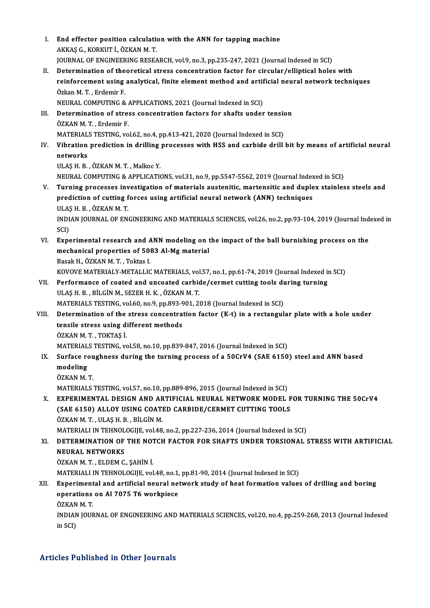| L.          | End effector position calculation with the ANN for tapping machine<br>AKKAŞ G., KORKUT İ., ÖZKAN M.T.                                                                                                            |
|-------------|------------------------------------------------------------------------------------------------------------------------------------------------------------------------------------------------------------------|
|             | JOURNAL OF ENGINEERING RESEARCH, vol.9, no.3, pp.235-247, 2021 (Journal Indexed in SCI)                                                                                                                          |
| П.          | Determination of theoretical stress concentration factor for circular/elliptical holes with                                                                                                                      |
|             | reinforcement using analytical, finite element method and artificial neural network techniques<br>Özkan M. T., Erdemir F.                                                                                        |
|             | NEURAL COMPUTING & APPLICATIONS, 2021 (Journal Indexed in SCI)                                                                                                                                                   |
| III.        | Determination of stress concentration factors for shafts under tension<br>ÖZKAN M.T., Erdemir F.                                                                                                                 |
|             | MATERIALS TESTING, vol.62, no.4, pp.413-421, 2020 (Journal Indexed in SCI)                                                                                                                                       |
| IV.         | Vibration prediction in drilling processes with HSS and carbide drill bit by means of artificial neural<br>networks                                                                                              |
|             | ULAŞ H B , ÖZKAN M T , Malkoc Y                                                                                                                                                                                  |
|             | NEURAL COMPUTING & APPLICATIONS, vol.31, no.9, pp.5547-5562, 2019 (Journal Indexed in SCI)                                                                                                                       |
| $V_{\perp}$ | Turning processes investigation of materials austenitic, martensitic and duplex stainless steels and<br>prediction of cutting forces using artificial neural network (ANN) techniques<br>ULAȘ H. B., ÖZKAN M. T. |
|             | INDIAN JOURNAL OF ENGINEERING AND MATERIALS SCIENCES, vol.26, no.2, pp.93-104, 2019 (Journal Indexed in<br>SCI)                                                                                                  |
| VI.         | Experimental research and ANN modeling on the impact of the ball burnishing process on the                                                                                                                       |
|             | mechanical properties of 5083 Al-Mg material<br>Basak H., ÖZKAN M. T., Toktas I.                                                                                                                                 |
|             | KOVOVE MATERIALY-METALLIC MATERIALS, vol.57, no.1, pp.61-74, 2019 (Journal Indexed in SCI)                                                                                                                       |
| VII.        | Performance of coated and uncoated carbide/cermet cutting tools during turning                                                                                                                                   |
|             | ULAŞ H. B., BİLGİN M., SEZER H. K., ÖZKAN M. T.                                                                                                                                                                  |
|             | MATERIALS TESTING, vol.60, no.9, pp.893-901, 2018 (Journal Indexed in SCI)                                                                                                                                       |
| VIII.       | Determination of the stress concentration factor (K-t) in a rectangular plate with a hole under                                                                                                                  |
|             | tensile stress using different methods<br>ÖZKAN M. T., TOKTAŞ İ                                                                                                                                                  |
|             | MATERIALS TESTING, vol.58, no.10, pp.839-847, 2016 (Journal Indexed in SCI)                                                                                                                                      |
| IX.         | Surface roughness during the turning process of a 50CrV4 (SAE 6150) steel and ANN based                                                                                                                          |
|             | modeling<br>ÖZKAN M.T.                                                                                                                                                                                           |
|             | MATERIALS TESTING, vol.57, no.10, pp.889-896, 2015 (Journal Indexed in SCI)                                                                                                                                      |
| Х.          | EXPERIMENTAL DESIGN AND ARTIFICIAL NEURAL NETWORK MODEL FOR TURNING THE 50CrV4<br>(SAE 6150) ALLOY USING COATED CARBIDE/CERMET CUTTING TOOLS                                                                     |
|             | ÖZKAN M.T., ULAŞ H.B., BİLGİN M.                                                                                                                                                                                 |
|             | MATERIALI IN TEHNOLOGIJE, vol.48, no.2, pp.227-236, 2014 (Journal Indexed in SCI)                                                                                                                                |
| XI.         | DETERMINATION OF THE NOTCH FACTOR FOR SHAFTS UNDER TORSIONAL STRESS WITH ARTIFICIAL                                                                                                                              |
|             | <b>NEURAL NETWORKS</b><br>ÖZKAN M.T., ELDEM C., ŞAHİN İ.                                                                                                                                                         |
|             | MATERIALI IN TEHNOLOGIJE, vol 48, no.1, pp.81-90, 2014 (Journal Indexed in SCI)                                                                                                                                  |
| XII.        | Experimental and artificial neural network study of heat formation values of drilling and boring<br>operations on Al 7075 T6 workpiece                                                                           |
|             | ÖZKAN M.T.                                                                                                                                                                                                       |
|             | INDIAN JOURNAL OF ENGINEERING AND MATERIALS SCIENCES, vol.20, no.4, pp.259-268, 2013 (Journal Indexed<br>in SCI)                                                                                                 |
|             |                                                                                                                                                                                                                  |

# Articles Published in Other Journals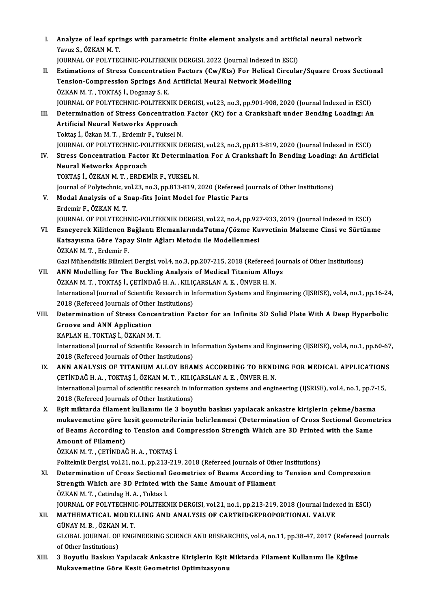| I.    | Analyze of leaf springs with parametric finite element analysis and artificial neural network<br>Yavuz S., ÖZKAN M.T. |
|-------|-----------------------------------------------------------------------------------------------------------------------|
|       | JOURNAL OF POLYTECHNIC-POLITEKNIK DERGISI, 2022 (Journal Indexed in ESCI)                                             |
| П.    | Estimations of Stress Concentration Factors (Cw/Kts) For Helical Circular/Square Cross Sectional                      |
|       | Tension-Compression Springs And Artificial Neural Network Modelling                                                   |
|       | ÖZKAN M. T., TOKTAŞ İ., Doganay S. K.                                                                                 |
|       | JOURNAL OF POLYTECHNIC-POLITEKNIK DERGISI, vol.23, no.3, pp.901-908, 2020 (Journal Indexed in ESCI)                   |
| III.  | Determination of Stress Concentration Factor (Kt) for a Crankshaft under Bending Loading: An                          |
|       | Artificial Neural Networks Approach                                                                                   |
|       | Toktaş İ., Özkan M. T., Erdemir F., Yuksel N.                                                                         |
|       | JOURNAL OF POLYTECHNIC-POLITEKNIK DERGISI, vol.23, no.3, pp.813-819, 2020 (Journal Indexed in ESCI)                   |
| IV.   | Stress Concentration Factor Kt Determination For A Crankshaft In Bending Loading: An Artificial                       |
|       | <b>Neural Networks Approach</b>                                                                                       |
|       | TOKTAŞ İ., ÖZKAN M. T. , ERDEMİR F., YUKSEL N.                                                                        |
|       | Journal of Polytechnic, vol.23, no.3, pp.813-819, 2020 (Refereed Journals of Other Institutions)                      |
| V.    | Modal Analysis of a Snap-fits Joint Model for Plastic Parts                                                           |
|       | Erdemir F., ÖZKAN M.T.                                                                                                |
|       | JOURNAL OF POLYTECHNIC-POLITEKNIK DERGISI, vol.22, no.4, pp.927-933, 2019 (Journal Indexed in ESCI)                   |
| VI.   | Esneyerek Kilitlenen Bağlantı ElemanlarındaTutma/Çözme Kuvvetinin Malzeme Cinsi ve Sürtünme                           |
|       | Katsayısına Göre Yapay Sinir Ağları Metodu ile Modellenmesi                                                           |
|       | ÖZKAN M.T., Erdemir F.                                                                                                |
|       | Gazi Mühendislik Bilimleri Dergisi, vol.4, no.3, pp.207-215, 2018 (Refereed Journals of Other Institutions)           |
| VII.  | ANN Modelling for The Buckling Analysis of Medical Titanium Alloys                                                    |
|       | ÖZKAN M. T. , TOKTAŞ İ., ÇETİNDAĞ H. A. , KILIÇARSLAN A. E. , ÜNVER H. N.                                             |
|       | International Journal of Scientific Research in Information Systems and Engineering (IJSRISE), vol.4, no.1, pp.16-24, |
|       | 2018 (Refereed Journals of Other Institutions)                                                                        |
| VIII. | Determination of Stress Concentration Factor for an Infinite 3D Solid Plate With A Deep Hyperbolic                    |
|       | <b>Groove and ANN Application</b>                                                                                     |
|       | KAPLAN H. TOKTAS İ. ÖZKAN M. T.                                                                                       |
|       | International Journal of Scientific Research in Information Systems and Engineering (IJSRISE), vol.4, no.1, pp.60-67, |
|       | 2018 (Refereed Journals of Other Institutions)                                                                        |
| IX.   | ANN ANALYSIS OF TITANIUM ALLOY BEAMS ACCORDING TO BENDING FOR MEDICAL APPLICATIONS                                    |
|       | ÇETİNDAĞ H. A., TOKTAŞ İ., ÖZKAN M. T., KILIÇARSLAN A. E., ÜNVER H. N.                                                |
|       | International journal of scientific research in information systems and engineering (IJSRISE), vol.4, no.1, pp.7-15,  |
|       | 2018 (Refereed Journals of Other Institutions)                                                                        |
| Х.    | Eşit miktarda filament kullanımı ile 3 boyutlu baskısı yapılacak ankastre kirişlerin çekme/basma                      |
|       | mukavemetine göre kesit geometrilerinin belirlenmesi (Determination of Cross Sectional Geometries                     |
|       | of Beams According to Tension and Compression Strength Which are 3D Printed with the Same                             |
|       | <b>Amount of Filament)</b>                                                                                            |
|       | ÖZKAN M. T., ÇETİNDAĞ H. A., TOKTAŞ İ.                                                                                |
|       | Politeknik Dergisi, vol.21, no.1, pp.213-219, 2018 (Refereed Journals of Other Institutions)                          |
| XI.   | Determination of Cross Sectional Geometries of Beams According to Tension and Compression                             |
|       | Strength Which are 3D Printed with the Same Amount of Filament                                                        |
|       | ÖZKAN M.T., Cetindag H.A., Toktas I.                                                                                  |
|       | JOURNAL OF POLYTECHNIC-POLITEKNIK DERGISI, vol.21, no.1, pp.213-219, 2018 (Journal Indexed in ESCI)                   |
| XII.  | MATHEMATICAL MODELLING AND ANALYSIS OF CARTRIDGEPROPORTIONAL VALVE                                                    |
|       | GÜNAY M. B., ÖZKAN M. T.                                                                                              |
|       | GLOBAL JOURNAL OF ENGINEERING SCIENCE AND RESEARCHES, vol.4, no.11, pp.38-47, 2017 (Refereed Journals                 |
|       | of Other Institutions)                                                                                                |
| XIII. | 3 Boyutlu Baskısı Yapılacak Ankastre Kirişlerin Eşit Miktarda Filament Kullanımı İle Eğilme                           |
|       | Mukavemetine Göre Kesit Geometrisi Optimizasyonu                                                                      |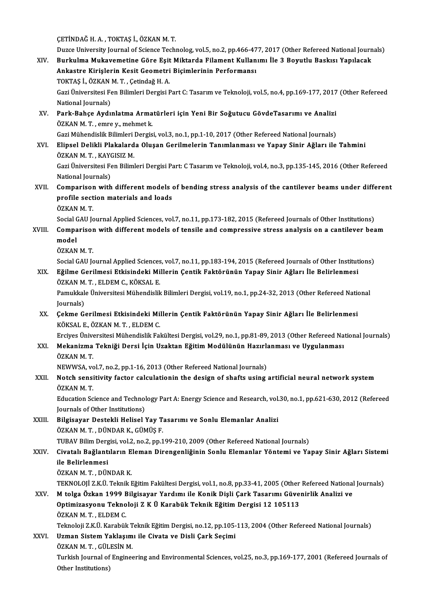ÇETİNDAĞH.A. ,TOKTAŞ İ.,ÖZKANM.T.

ÇETİNDAĞ H. A. , TOKTAŞ İ., ÖZKAN M. T.<br>Duzce University Journal of Science Technolog, vol.5, no.2, pp.466-477, 2017 (Other Refereed National Journals)<br>Burkulma Mukayemetine Göre Feit Miktende Filament Kullanımı İle 3 Beyy CETİNDAĞ H. A. , TOKTAŞ İ., ÖZKAN M. T.<br>Duzce University Journal of Science Technolog, vol.5, no.2, pp.466-477, 2017 (Other Refereed National Journ<br>XIV. Burkulma Mukavemetine Göre Eşit Miktarda Filament Kullanımı İle 3 Boy Duzce University Journal of Science Technolog, vol.5, no.2, pp.466-47<br>Burkulma Mukavemetine Göre Eşit Miktarda Filament Kullan<br>Ankastre Kirişlerin Kesit Geometri Biçimlerinin Performansı<br>TOKTAS İ. ÖZKAN M.T. Cetindeğ H.A. Burkulma Mukavemetine Göre Eşit<br>Ankastre Kirişlerin Kesit Geometri<br>TOKTAŞ İ., ÖZKAN M.T. , Çetindağ H. A.<br>Cari Üniversitesi Fen Bilimleri Dergisi E Ankastre Kirişlerin Kesit Geometri Biçimlerinin Performansı<br>TOKTAŞ İ., ÖZKAN M. T. , Çetindağ H. A.<br>Gazi Üniversitesi Fen Bilimleri Dergisi Part C: Tasarım ve Teknoloji, vol.5, no.4, pp.169-177, 2017 (Other Refereed<br>Nation TOKTAȘ İ., ÖZKAN M. T., Çetindağ H. A. Gazi Üniversitesi Fen Bilimleri Dergisi Part C: Tasarım ve Teknoloji, vol.5, no.4, pp.169-177, 2017<br>National Journals)<br>XV. Park-Bahçe Aydınlatma Armatürleri için Yeni Bir Soğutucu GövdeTasarımı ve Analizi<br>ÖZKAN M.T. National Journals)<br><mark>Park-Bahçe Aydınlatma Arma</mark><br>ÖZKAN M. T. , emre y., mehmet k.<br>Cari Mühandialik Bilimleri Dergia ÖZKAN M. T. , emre y., mehmet k.<br>Gazi Mühendislik Bilimleri Dergisi, vol.3, no.1, pp.1-10, 2017 (Other Refereed National Journals) ÖZKAN M. T. , emre y., mehmet k.<br>Gazi Mühendislik Bilimleri Dergisi, vol.3, no.1, pp.1-10, 2017 (Other Refereed National Journals)<br>XVI. Elipsel Delikli Plakalarda Oluşan Gerilmelerin Tanımlanması ve Yapay Sinir Ağları Gazi Mühendislik Bilimleri<br>Elipsel Delikli Plakalard<br>ÖZKAN M.T., KAYGISIZ M.<br>Cari Üniversitesi Fen Biliml Elipsel Delikli Plakalarda Oluşan Gerilmelerin Tanımlanması ve Yapay Sinir Ağları ile Tahmini<br>ÖZKAN M. T. , KAYGISIZ M.<br>Gazi Üniversitesi Fen Bilimleri Dergisi Part: C Tasarım ve Teknoloji, vol.4, no.3, pp.135-145, 2016 (O ÖZKAN M. T. , KAYGISIZ M.<br>Gazi Üniversitesi Fen Bilimleri Dergisi Part: C Tasarım ve Teknoloji, vol.4, no.3, pp.135-145, 2016 (Other Refereed<br>National Journals) Gazi Üniversitesi Fen Bilimleri Dergisi Part: C Tasarım ve Teknoloji, vol.4, no.3, pp.135-145, 2016 (Other Refereed<br>National Journals)<br>XVII. Comparison with different models of bending stress analysis of the cantilever bea National Journals)<br>Comparison with different models (<br>profile section materials and loads<br>ÖZKAN M.T Comparisor<br>profile sect<br>ÖZKAN M. T.<br>Sogial CAU Ic profile section materials and loads<br>ÖZKAN M. T.<br>Social GAU Journal Applied Sciences, vol.7, no.11, pp.173-182, 2015 (Refereed Journals of Other Institutions)<br>Companison with different models of tensile and compressive stre ÖZKAN M. T.<br>Social GAU Journal Applied Sciences, vol.7, no.11, pp.173-182, 2015 (Refereed Journals of Other Institutions)<br>XVIII. Comparison with different models of tensile and compressive stress analysis on a cantilev Social <mark>C</mark><br>Compa<br>model<br>ÖZKAN Comparisor<br>model<br>ÖZKAN M. T.<br>Social CAU Ic model<br>ÖZKAN M. T.<br>Social GAU Journal Applied Sciences, vol.7, no.11, pp.183-194, 2015 (Refereed Journals of Other Institutions) ÖZKAN M. T.<br>Social GAU Journal Applied Sciences, vol.7, no.11, pp.183-194, 2015 (Refereed Journals of Other Institut<br>XIX. Eğilme Gerilmesi Etkisindeki Millerin Çentik Faktörünün Yapay Sinir Ağları İle Belirlenmesi Social GAU Journal Applied Sciences<br><mark>Eğilme Gerilmesi Etkisindeki Mi</mark><br>ÖZKAN M. T. , ELDEM C., KÖKSAL E.<br>Pamukkala Üniversitesi Mühandialil Eğilme Gerilmesi Etkisindeki Millerin Çentik Faktörünün Yapay Sinir Ağları İle Belirlenmesi<br>ÖZKAN M. T. , ELDEM C., KÖKSAL E.<br>Pamukkale Üniversitesi Mühendislik Bilimleri Dergisi, vol.19, no.1, pp.24-32, 2013 (Other Refere ÖZKAN M.<br>Pamukkal<br>Journals)<br>Cekme C Pamukkale Üniversitesi Mühendislik Bilimleri Dergisi, vol.19, no.1, pp.24-32, 2013 (Other Refereed Nation Journals)<br>XX. Cekme Gerilmesi Etkisindeki Millerin Çentik Faktörünün Yapay Sinir Ağları İle Belirlenmesi<br>VÖVSAL E. Ö Journals)<br>XX. Çekme Gerilmesi Etkisindeki Millerin Çentik Faktörünün Yapay Sinir Ağları İle Belirlenmesi<br>KÖKSAL E., ÖZKAN M.T., ELDEM C. Çekme Gerilmesi Etkisindeki Millerin Çentik Faktörünün Yapay Sinir Ağları İle Belirlenmesi<br>KÖKSAL E., ÖZKAN M. T. , ELDEM C.<br>Erciyes Üniversitesi Mühendislik Fakültesi Dergisi, vol.29, no.1, pp.81-89, 2013 (Other Refereed KÖKSAL E., ÖZKAN M. T. , ELDEM C.<br>Erciyes Üniversitesi Mühendislik Fakültesi Dergisi, vol.29, no.1, pp.81-89, 2013 (Other Refereed Na<br>XXI. Mekanizma Tekniği Dersi İçin Uzaktan Eğitim Modülünün Hazırlanması ve Uygulanma Erciyes Ünive<br>**Mekanizma**<br>ÖZKAN M. T.<br>NEWWSA. ve Mekanizma Tekniği Dersi İçin Uzaktan Eğitim Modülünün Hazırla<br>ÖZKAN M. T.<br>NEWWSA, vol.7, no.2, pp.1-16, 2013 (Other Refereed National Journals)<br>Natab sensitivity fastar salaylationin the design of shafta vejng. ÖZKAN M. T.<br>NEWWSA, vol.7, no.2, pp.1-16, 2013 (Other Refereed National Journals)<br>XXII. Notch sensitivity factor calculationin the design of shafts using artificial neural network system<br>ÖZKAN M. T NEWWSA, vo<br>Notch sensi<br>ÖZKAN M. T.<br>Education So Notch sensitivity factor calculationin the design of shafts using artificial neural network system<br>ÖZKAN M. T.<br>Education Science and Technology Part A: Energy Science and Research, vol.30, no.1, pp.621-630, 2012 (Refereed<br> ÖZKAN M. T.<br>Education Science and Technology Part A: Energy Science and Research, vol.30, no.1, pp.621-630, 2012 (Refereed<br>Journals of Other Institutions) XXIII. Bilgisayar Destekli Helisel Yay Tasarımı ve Sonlu Elemanlar Analizi ÖZKAN M.T., DÜNDAR K., GÜMÜŞ F. Bilgisayar Destekli Helisel Yay Tasarımı ve Sonlu Elemanlar Analizi<br>ÖZKAN M. T. , DÜNDAR K., GÜMÜŞ F.<br>TUBAV Bilim Dergisi, vol.2, no.2, pp.199-210, 2009 (Other Refereed National Journals)<br>Givatalı Bağlantıların Eleman Dire ÖZKAN M. T. , DÜNDAR K., GÜMÜŞ F.<br>TUBAV Bilim Dergisi, vol.2, no.2, pp.199-210, 2009 (Other Refereed National Journals)<br>XXIV. Civatalı Bağlantıların Eleman Direngenliğinin Sonlu Elemanlar Yöntemi ve Yapay Sinir Ağları TUBAV Bilim Derg<br>Civatalı <mark>Bağlant</mark>ı<br>ile Belirlenmesi<br>ÖZKAN M.T. DÜN <mark>Civatalı Bağlantıların E</mark><br>ile Belirlenmesi<br>ÖZKAN M.T., DÜNDAR K.<br>TEKNOLOLİ 7 K Ü.Telmik I ile Belirlenmesi<br>ÖZKAN M. T. , DÜNDAR K.<br>TEKNOLOJİ Z.K.Ü. Teknik Eğitim Fakültesi Dergisi, vol.1, no.8, pp.33-41, 2005 (Other Refereed National Journals)<br>M. taksa Öskan 1999 Bilsisayar Yardımı ile Kanik Disli Cark Tasarımı ÖZKAN M. T. , DÜNDAR K.<br>TEKNOLOJİ Z.K.Ü. Teknik Eğitim Fakültesi Dergisi, vol.1, no.8, pp.33-41, 2005 (Other Refereed National<br>XXV. M tolga Özkan 1999 Bilgisayar Yardımı ile Konik Dişli Çark Tasarımı Güvenirlik Analizi TEKNOLOJİ Z.K.Ü. Teknik Eğitim Fakültesi Dergisi, vol.1, no.8, pp.33-41, 2005 (Other<br>M tolga Özkan 1999 Bilgisayar Yardımı ile Konik Dişli Çark Tasarımı Güve<br>Optimizasyonu Teknoloji Z K Ü Karabük Teknik Eğitim Dergisi 12 1 M tolga Özkan 1999 Bilgisayar Yardımı ile Konik Dişli Çark Tasarımı Güvenirlik Analizi ve<br>Optimizasyonu Teknoloji Z K Ü Karabük Teknik Eğitim Dergisi 12 105113<br>ÖZKAN M.T., ELDEM C. Teknoloji Z.K.Ü. Karabük Teknik Eğitim Dergisi, no.12, pp.105-113, 2004 (Other Refereed National Journals) ÖZKAN M. T. , ELDEM C.<br>Teknoloji Z.K.Ü. Karabük Teknik Eğitim Dergisi, no.12, pp.105-<br>XXVI. Uzman Sistem Yaklaşımı ile Civata ve Disli Çark Seçimi<br>ÖZKAN M.T. CÜLESIN M Teknoloji Z.K.Ü. Karabük T<br><mark>Uzman Sistem Yaklaşım</mark><br>ÖZKAN M. T. , GÜLESİN M.<br>Turkish Journal of Engines Turkish Journal of Engineering and Environmental Sciences, vol.25, no.3, pp.169-177, 2001 (Refereed Journals of<br>Other Institutions) ÖZKAN M.T., GÜLESİN M.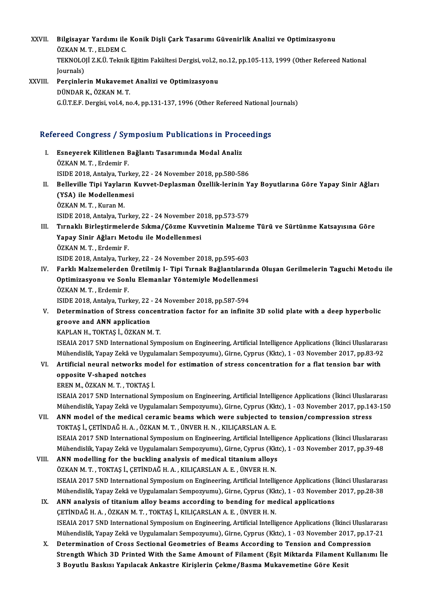- XXVII. Bilgisayar Yardımı ile Konik Dişli Çark Tasarımı Güvenirlik Analizi ve Optimizasyonu<br>ÖZKAN M.T. ELDEM.C Bilgisayar Yardımı ile<br>ÖZKAN M.T., ELDEM C.<br>TEKNOLOLİ 7 KÜ Telmil TEKNOLOJİ Z.K.Ü. Teknik Eğitim Fakültesi Dergisi, vol.2, no.12, pp.105-113, 1999 (Other Refereed National Iournals) ÖZKAN M.T., ELDEM C. TEKNOLOJİ Z.K.Ü. Teknik Eğitim Fakültesi Dergisi, vol.2, ı<br>Journals)<br>XXVIII. Perçinlerin Mukavemet Analizi ve Optimizasyonu<br>DÜNDARK ÖZKAN M.T
- Journals)<br>Perçinlerin Mukaveme<br>DÜNDAR K., ÖZKAN M. T.<br>CÜTEE Dergisi vol 4 ne DÜNDAR K., ÖZKAN M. T.<br>G.Ü.T.E.F. Dergisi, vol.4, no.4, pp.131-137, 1996 (Other Refereed National Journals)

# G.O.I.E.F. Dergisi, vol.4, no.4, pp.131-137, 1996 (Other Refereed National J<br>Refereed Congress / Symposium Publications in Proceedings

- efereed Congress / Symposium Publications in Proce<br>I. Esneyerek Kilitlenen Bağlantı Tasarımında Modal Analiz<br>ÖZKAN M.T. Erdemir E Esneyerek Kilitlenen<br>ÖZKAN M. T. , Erdemir F.<br>ISIDE 2018. Antalya Turl Esneyerek Kilitlenen Bağlantı Tasarımında Modal Analiz<br>ÖZKAN M. T. , Erdemir F.<br>ISIDE 2018, Antalya, Turkey, 22 - 24 November 2018, pp.580-586<br>Belleville Tini Yoylanın Kuyyet Denlesman Özellik leninin Y ÖZKAN M. T. , Erdemir F.<br>ISIDE 2018, Antalya, Turkey, 22 - 24 November 2018, pp.580-586<br>II. Belleville Tipi Yayların Kuvvet-Deplasman Özellik-lerinin Yay Boyutlarına Göre Yapay Sinir Ağları<br>(YSA), ilo Modellermesi
- ISIDE 2018, Antalya, Turkey, 22 24 November 2018, pp.580-586<br>Belleville Tipi Yayların Kuvvet-Deplasman Özellik-lerinin Y<br>(YSA) ile Modellenmesi<br>ÖZKAN M. T. , Kuran M. Belleville Tipi Yaylar<br>(YSA) ile Modellenm<br>ÖZKAN M.T., Kuran M.<br>ISIDE 2018, Antalua Tu (YSA) ile Modellenmesi<br>ÖZKAN M. T. , Kuran M.<br>ISIDE 2018, Antalya, Turkey, 22 - 24 November 2018, pp.573-579<br>Tunaklı Birlestinmelerde Sıkme (Görme Kuyyetinin Melzem ÖZKAN M.T., Kuran M.<br>ISIDE 2018, Antalya, Turkey, 22 - 24 November 2018, pp.573-579<br>III. Tırnaklı Birleştirmelerde Sıkma/Çözme Kuvvetinin Malzeme Türü ve Sürtünme Katsayısına Göre<br>Yanayı Sinin Ağlanı Matadı: ile Madell
- ISIDE 2018, Antalya, Turkey, 22 24 November 20<br>Tırnaklı Birleştirmelerde Sıkma/Çözme Kuvv<br>Yapay Sinir Ağları Metodu ile Modellenmesi<br>ÖZKAN M.T. Erdemir E Tırnaklı Birleştirmeler<br>Yapay Sinir Ağları Met<br>ÖZKAN M.T., Erdemir F.<br>ISIDE 2018, Antalya Turl Yapay Sinir Ağları Metodu ile Modellenmesi<br>ÖZKAN M.T., Erdemir F.<br>ISIDE 2018, Antalya, Turkey, 22 - 24 November 2018, pp.595-603 ÖZKAN M. T. , Erdemir F.<br>ISIDE 2018, Antalya, Turkey, 22 - 24 November 2018, pp.595-603<br>IV. Farklı Malzemelerden Üretilmiş I- Tipi Tırnak Bağlantılarında Oluşan Gerilmelerin Taguchi Metodu ile<br>Optimizasyonu ve Sanlu Fl
- ISIDE 2018, Antalya, Turkey, 22 24 November 2018, pp.595-603<br>Farklı Malzemelerden Üretilmiş I- Tipi Tırnak Bağlantılarında<br>Optimizasyonu ve Sonlu Elemanlar Yöntemiyle Modellenmesi<br>ÖZKAN M.T. Erdemir E Farklı Malzemelerden<br>Optimizasyonu ve Son<br>ÖZKAN M.T., Erdemir F.<br>ISIDE 2018, Antalya Turl Optimizasyonu ve Sonlu Elemanlar Yöntemiyle Modellenmesi<br>ÖZKAN M. T., Erdemir F.<br>ISIDE 2018, Antalya, Turkey, 22 - 24 November 2018, pp.587-594

ÖZKAN M. T. , Erdemir F.<br>ISIDE 2018, Antalya, Turkey, 22 - 24 November 2018, pp.587-594<br>V. Determination of Stress concentration factor for an infinite 3D solid plate with a deep hyperbolic<br>Treeve and ANN annligation ISIDE 2018, Antalya, Turkey, 22 -<br>Determination of Stress conc<br>groove and ANN application<br>KAPLAN H. TOKTAS L. ÖZKAN M Determination of Stress concen<br>groove and ANN application<br>KAPLAN H., TOKTAŞ İ., ÖZKAN M. T.<br>ISEALA 2017 END International Sum

groove a<mark>nd ANN application</mark><br>KAPLAN H., TOKTAŞ İ., ÖZKAN M. T.<br>ISEAIA 2017 5ND International Symposium on Engineering, Artificial Intelligence Applications (İkinci Uluslararası KAPLAN H., TOKTAŞ İ., ÖZKAN M. T.<br>ISEAIA 2017 5ND International Symposium on Engineering, Artificial Intelligence Applications (İkinci Uluslararas<br>Mühendislik, Yapay Zekâ ve Uygulamaları Sempozyumu), Girne, Cyprus (Kktc), ISEAIA 2017 5ND International Symposium on Engineering, Artificial Intelligence Applications (İkinci Uluslarara<br>Mühendislik, Yapay Zekâ ve Uygulamaları Sempozyumu), Girne, Cyprus (Kktc), 1 - 03 November 2017, pp.83-92<br>VI.

Mühendislik, Yapay Zekâ ve Uygulamaları Sempozyumu), Girne, Cyprus (Kktc), 1 - 03 November 2017, pp.83-92<br>VI. Artificial neural networks model for estimation of stress concentration for a flat tension bar with<br>opposite V-s

ERENM.,ÖZKANM.T. ,TOKTAŞ İ.

opposite V-shaped notches<br>EREN M., ÖZKAN M. T. , TOKTAŞ İ.<br>ISEAIA 2017 5ND International Symposium on Engineering, Artificial Intelligence Applications (İkinci Uluslararası EREN M., ÖZKAN M. T. , TOKTAŞ İ.<br>ISEAIA 2017 5ND International Symposium on Engineering, Artificial Intelligence Applications (İkinci Uluslararası<br>Mühendislik, Yapay Zekâ ve Uygulamaları Sempozyumu), Girne, Cyprus (Kktc), ISEAIA 2017 5ND International Symposium on Engineering, Artificial Intelligence Applications (İkinci Uluslar<br>Mühendislik, Yapay Zekâ ve Uygulamaları Sempozyumu), Girne, Cyprus (Kktc), 1 - 03 November 2017, pp.14<br>VII. ANN

- Mühendislik, Yapay Zekâ ve Uygulamaları Sempozyumu), Girne, Cyprus (Kk<br>ANN model of the medical ceramic beams which were subjected to<br>TOKTAŞ İ., ÇETİNDAĞ H. A. , ÖZKAN M. T. , ÜNVER H. N. , KILIÇARSLAN A. E.<br>ISEALA 2017 EN ANN model of the medical ceramic beams which were subjected to tension/compression stress<br>TOKTAŞ İ., ÇETİNDAĞ H. A. , ÖZKAN M. T. , ÜNVER H. N. , KILIÇARSLAN A. E.<br>ISEAIA 2017 5ND International Symposium on Engineering, Ar TOKTAŞ İ., ÇETİNDAĞ H. A. , ÖZKAN M. T. , ÜNVER H. N. , KILIÇARSLAN A. E.<br>ISEAIA 2017 5ND International Symposium on Engineering, Artificial Intelligence Applications (İkinci Uluslararas<br>Mühendislik, Yapay Zekâ ve Uygulama ISEAIA 2017 5ND International Symposium on Engineering, Artificial Intellig<br>Mühendislik, Yapay Zekâ ve Uygulamaları Sempozyumu), Girne, Cyprus (Kkt<br>VIII. ANN modelling for the buckling analysis of medical titanium alloys<br>Ö
- Mühendislik, Yapay Zekâ ve Uygulamaları Sempozyumu), Girne, Cyprus (Kk<br>ANN modelling for the buckling analysis of medical titanium alloys<br>ÖZKAN M. T., TOKTAŞ İ., ÇETİNDAĞ H. A., KILIÇARSLAN A. E., ÜNVER H. N.<br>ISEALA 2017 E ANN modelling for the buckling analysis of medical titanium alloys<br>ÖZKAN M. T. , TOKTAŞ İ., ÇETİNDAĞ H. A. , KILIÇARSLAN A. E. , ÜNVER H. N.<br>ISEAIA 2017 5ND International Symposium on Engineering, Artificial Intelligence A ÖZKAN M. T. , TOKTAŞ İ., ÇETİNDAĞ H. A. , KILIÇARSLAN A. E. , ÜNVER H. N.<br>ISEAIA 2017 5ND International Symposium on Engineering, Artificial Intelligence Applications (İkinci Uluslararas<br>Mühendislik, Yapay Zekâ ve Uygulama ISEAIA 2017 5ND International Symposium on Engineering, Artificial Intelligence Applications (<br>Mühendislik, Yapay Zekâ ve Uygulamaları Sempozyumu), Girne, Cyprus (Kktc), 1 - 03 November<br>IX. ANN analysis of titanium alloy
- Mühendislik, Yapay Zekâ ve Uygulamaları Sempozyumu), Girne, Cyprus (Kk<br>ANN analysis of titanium alloy beams according to bending for me<br>ÇETİNDAĞ H. A. , ÖZKAN M. T. , TOKTAŞ İ., KILIÇARSLAN A. E. , ÜNVER H. N.<br>ISEALA 2017 ANN analysis of titanium alloy beams according to bending for medical applications<br>ÇETİNDAĞ H. A. , ÖZKAN M. T. , TOKTAŞ İ., KILIÇARSLAN A. E. , ÜNVER H. N.<br>ISEAIA 2017 5ND International Symposium on Engineering, Artificia CETİNDAĞ H. A. , ÖZKAN M. T. , TOKTAŞ İ., KILIÇARSLAN A. E. , ÜNVER H. N.<br>ISEAIA 2017 5ND International Symposium on Engineering, Artificial Intelligence Applications (İkinci Uluslararas<br>Mühendislik, Yapay Zekâ ve Uygulama ISEAIA 2017 5ND International Symposium on Engineering, Artificial Intelligence Applications (İkinci Uluslar<br>Mühendislik, Yapay Zekâ ve Uygulamaları Sempozyumu), Girne, Cyprus (Kktc), 1 - 03 November 2017, pp.17<br>X. Determi
- Mühendislik, Yapay Zekâ ve Uygulamaları Sempozyumu), Girne, Cyprus (Kktc), 1 03 November 2017, pp.17-21<br>Determination of Cross Sectional Geometries of Beams According to Tension and Compression<br>Strength Which 3D Printed Determination of Cross Sectional Geometries of Beams According to Tension and Compi<br>Strength Which 3D Printed With the Same Amount of Filament (Eşit Miktarda Filament I<br>3 Boyutlu Baskısı Yapılacak Ankastre Kirişlerin Çekme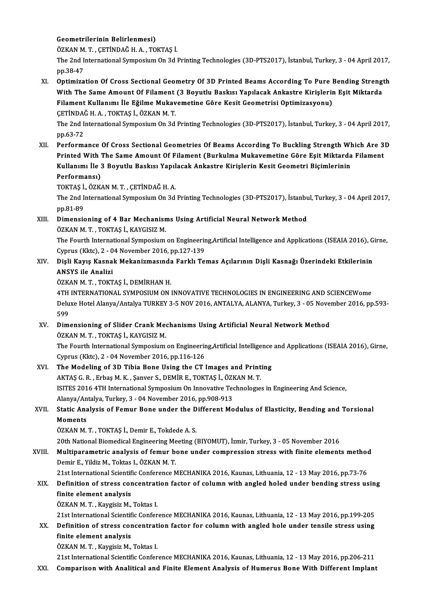# Geometrilerinin Belirlenmesi)

Geometrilerinin Belirlenmesi)<br>ÖZKAN M.T., ÇETİNDAĞ H.A., TOKTAŞ İ.<br>The <sup>2</sup>nd International Sumnesium On 24 l

The 2nd International Symposium On 3d Printing Technologies (3D-PTS2017), İstanbul, Turkey, 3 - 04 April 2017,<br>pp.38-47 ÖZKAN M<br>The 2nd I<br>pp.38-47<br>Ontimire The 2nd International Symposium On 3d Printing Technologies (3D-PTS2017), İstanbul, Turkey, 3 - 04 April 2017,<br>pp.38-47<br>XI. Optimization Of Cross Sectional Geometry Of 3D Printed Beams According To Pure Bending Strength<br>Wi

pp.38-47<br>Optimization Of Cross Sectional Geometry Of 3D Printed Beams According To Pure Bending Streng<br>With The Same Amount Of Filament (3 Boyutlu Baskısı Yapılacak Ankastre Kirişlerin Eşit Miktarda<br>Filament Kullarumı İle Optimization Of Cross Sectional Geometry Of 3D Printed Beams According To Pure l<br>With The Same Amount Of Filament (3 Boyutlu Baskısı Yapılacak Ankastre Kirişlerin<br>Filament Kullanımı İle Eğilme Mukavemetine Göre Kesit Geome With The Same Amount Of Filament (3 Boyutlu Baskısı Yapılacak Ankastre Kirişlerin Eşit Miktarda<br>Filament Kullanımı İle Eğilme Mukavemetine Göre Kesit Geometrisi Optimizasyonu)<br>CETİNDAĞ H. A. , TOKTAŞ İ., ÖZKAN M. T. The 2nd InternationalSymposiumOn3dPrintingTechnologies (3D-PTS2017), İstanbul,Turkey,3 -04April2017,

pp.63-72

The 2nd International Symposium On 3d Printing Technologies (3D-PTS2017), İstanbul, Turkey, 3 - 04 April 2017,<br>
2017, pp.63-72<br>
XII. Performance Of Cross Sectional Geometries Of Beams According To Buckling Strength Which A pp.63-72<br>Performance Of Cross Sectional Geometries Of Beams According To Buckling Strength Which Are 3<br>Printed With The Same Amount Of Filament (Burkulma Mukavemetine Göre Eşit Miktarda Filament<br>Kullanımı ile 3 Peyutlu Pee Performance Of Cross Sectional Geometries Of Beams According To Buckling Strength Wl<br>Printed With The Same Amount Of Filament (Burkulma Mukavemetine Göre Eşit Miktarda<br>Kullanımı İle 3 Boyutlu Baskısı Yapılacak Ankastre Kir Printed With The Same Amount Of Filament (Burkulma Mukavemetine Göre Eşit Miktarda Filament<br>Kullanımı İle 3 Boyutlu Baskısı Yapılacak Ankastre Kirişlerin Kesit Geometri Biçimlerinin<br>Performansı) Kullanımı İle 3 Boyutlu Baskısı Yapıl<br>Performansı)<br>TOKTAŞ İ., ÖZKAN M.T. , ÇETİNDAĞ H. A.<br>The 2nd International Sumnesium On 3d

The 2nd International Symposium On 3d Printing Technologies (3D-PTS2017), İstanbul, Turkey, 3 - 04 April 2017, pp.81-89 TOKTAŞ İ.<br>The 2nd I<br>pp.81-89<br>Dimensis The 2nd International Symposium On 3d Printing Technologies (3D-PTS2017), İstanbu<br>pp.81-89<br>XIII. Dimensioning of 4 Bar Mechanisms Using Artificial Neural Network Method<br>ÖZKAN M.T. TOKTAS İ. KAYCISIZ M

pp.81-89<br>Dimensioning of 4 Bar Mechanisn<br>ÖZKAN M. T. , TOKTAŞ İ., KAYGISIZ M.<br>The Fourth International Sumnesium Dimensioning of 4 Bar Mechanisms Using Artificial Neural Network Method<br>ÖZKAN M. T. , TOKTAŞ İ., KAYGISIZ M.<br>The Fourth International Symposium on Engineering,Artificial Intelligence and Applications (ISEAIA 2016), Girne,<br>

ÖZKAN M. T. , TOKTAŞ İ., KAYGISIZ M.<br>The Fourth International Symposium on Engineerir<br>Cyprus (Kktc), 2 - 04 November 2016, pp.127-139<br>Disli Kayıs Kaspak Makanizmasında Farklı To The Fourth International Symposium on Engineering,Artificial Intelligence and Applications (ISEAIA 2016), G<br>Cyprus (Kktc), 2 - 04 November 2016, pp.127-139<br>XIV. Dişli Kayış Kasnak Mekanizmasında Farklı Temas Açılarının

# Cyprus (Kktc), 2 - 04 November 2016, pp.127-139<br>Dişli Kayış Kasnak Mekanizmasında Farklı Te<br>ANSYS ile Analizi<br>ÖZKAN M. T., TOKTAS İ., DEMİRHAN H. XIV. Dişli Kayış Kasnak Mekanizmasında Farklı Temas Açılarının Dişli Kasnağı Üzerindeki Etkilerinin

4TH INTERNATIONAL SYMPOSIUM ON INNOVATIVE TECHNOLOGIES IN ENGINEERING AND SCIENCEWome ÖZKAN M. T. , TOKTAŞ İ., DEMİRHAN H.<br>4TH INTERNATIONAL SYMPOSIUM ON INNOVATIVE TECHNOLOGIES IN ENGINEERING AND SCIENCEWome<br>Deluxe Hotel Alanya/Antalya TURKEY 3-5 NOV 2016, ANTALYA, ALANYA, Turkey, 3 - 05 November 2016, pp. 4TH<br>Delu<br>599<br>Dim

# 599<br>XV. Dimensioning of Slider Crank Mechanisms Using Artificial Neural Network Method ÖZKAN M.T., TOKTAŞ İ., KAYGISIZ M. Dimensioning of Slider Crank Mechanisms Using Artificial Neural Network Method<br>ÖZKAN M. T. , TOKTAŞ İ., KAYGISIZ M.<br>The Fourth International Symposium on Engineering,Artificial Intelligence and Applications (ISEAIA 2016),

ÖZKAN M. T. , TOKTAŞ İ., KAYGISIZ M.<br>The Fourth International Symposium on Engineerir<br>Cyprus (Kktc), 2 - 04 November 2016, pp.116-126<br>The Modeling of 2D Tibio Bone Heing the CT l The Fourth International Symposium on Engineering, Artificial Intelligence<br>Cyprus (Kktc), 2 - 04 November 2016, pp.116-126<br>XVI. The Modeling of 3D Tibia Bone Using the CT Images and Printing<br>ALTAS C. B. Erbas M. K. Sanyor

Cyprus (Kktc), 2 - 04 November 2016, pp.116-126<br>The Modeling of 3D Tibia Bone Using the CT Images and Print<br>AKTAŞ G.R., Erbaş M.K., Şanver S., DEMİR E., TOKTAŞ İ., ÖZKAN M.T.<br>ISITES 2016 4TH International Symposium On Inne ISITES 2016 4TH International Symposium On Innovative Technologies in Engineering And Science, AKTAŞ G. R., Erbaş M. K., Şanver S., DEMİR E., TOKTAŞ İ., ÖZKAN M. T. Alanya/Antalya, Turkey, 3 - 04 November 2016, pp.908-913

# XVII. Static Analysis of Femur Bone under the Different Modulus of Elasticity, Bending and Torsional<br>Moments

ÖZKAN M.T., TOKTAŞ İ., Demir E., Tokdede A.S.

20th National Biomedical Engineering Meeting (BIYOMUT), İzmir, Turkey, 3 - 05 November 2016

# XVIII. Multiparametric analysis of femur bone under compression stress with finite elements method Demir E., Yildiz M., Toktas I., ÖZKAN M. T.

21st International Scientific Conference MECHANIKA 2016, Kaunas, Lithuania, 12 - 13 May 2016, pp.73-76

# Demir E., Yildiz M., Toktas I., ÖZKAN M. T.<br>21st International Scientific Conference MECHANIKA 2016, Kaunas, Lithuania, 12 - 13 May 2016, pp.73-76<br>XIX. Definition of stress concentration factor of column with angled ho 21st International Scientif<br>Definition of stress cor<br>finite element analysis<br>ÖZKAN M.T. Kaugisis M Definition of stress concentrat<br>finite element analysis<br>ÖZKAN M.T., Kaygisiz M., Toktas I.<br>21st International Scientific Confor finite element analysis<br>ÖZKAN M. T. , Kaygisiz M., Toktas I.<br>21st International Scientific Conference MECHANIKA 2016, Kaunas, Lithuania, 12 - 13 May 2016, pp.199-205<br>Definition of stress, sonsontration foster for solumn wi

ÖZKAN M. T. , Kaygisiz M., Toktas I.<br>21st International Scientific Conference MECHANIKA 2016, Kaunas, Lithuania, 12 - 13 May 2016, pp.199-205<br>XX. Definition of stress concentration factor for column with angled hole un 21st International Scientif<br>Definition of stress cor<br>finite element analysis<br>ÖZKAN M.T. Kaugisin M Definition of stress concentrat<br>finite element analysis<br>ÖZKAN M.T., Kaygisiz M., Toktas I.<br>21st International Scientific Confor

finite element analysis<br>ÖZKAN M. T. , Kaygisiz M., Toktas I.<br>21st International Scientific Conference MECHANIKA 2016, Kaunas, Lithuania, 12 - 13 May 2016, pp.206-211

XXI. Comparison with Analitical and Finite Element Analysis of Humerus BoneWith Different Implant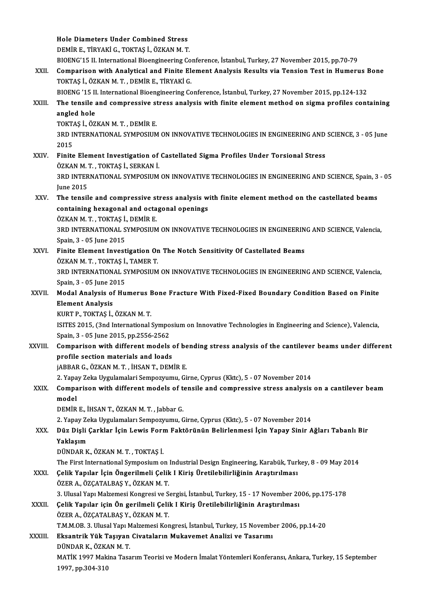Hole Diameters Under Combined Stress DEMİRE.,TİRYAKİG.,TOKTAŞ İ.,ÖZKANM.T. BIOENG'15 II. International Bioengineering Conference, İstanbul, Turkey, 27 November 2015, pp.70-79 DEMIR E., TIRYAKI G., TOKTAŞ İ., ÖZKAN M. T.<br>BIOENG'15 II. International Bioengineering Conference, İstanbul, Turkey, 27 November 2015, pp.70-79<br>XXII. Comparison with Analytical and Finite Element Analysis Results via BIOENG'15 II. International Bioengineering Co<br>Comparison with Analytical and Finite Electrical State Constants in Sextan M.T., DEMIRE., TIRYAKİ G. Comparison with Analytical and Finite Element Analysis Results via Tension Test in Humerus I<br>TOKTAŞ İ., ÖZKAN M. T. , DEMİR E., TİRYAKİ G.<br>BIOENG '15 II. International Bioengineering Conference, İstanbul, Turkey, 27 Novemb TOKTAŞ İ., ÖZKAN M. T. , DEMİR E., TİRYAKİ G.<br>BIOENG '15 II. International Bioengineering Conference, İstanbul, Turkey, 27 November 2015, pp.124-132<br>XXIII. The tensile and compressive stress analysis with finite elemen BIOENG '15 II<br>The tensile<br>angled hole<br>TOETAS LÖZ The tensile and compressive st<br>angled hole<br>TOKTAŞ İ., ÖZKAN M. T. , DEMİR E.<br>2PD INTERNATIONAL SYMPOSUM angled hole<br>TOKTAŞ İ., ÖZKAN M. T. , DEMİR E.<br>3RD INTERNATIONAL SYMPOSIUM ON INNOVATIVE TECHNOLOGIES IN ENGINEERING AND SCIENCE, 3 - 05 June<br>2015 TOKTAS İ., ÖZKAN M. T., DEMİR E. 3RD INTERNATIONAL SYMPOSIUM ON INNOVATIVE TECHNOLOGIES IN ENGINEERING AND<br>2015<br>XXIV. Finite Element Investigation of Castellated Sigma Profiles Under Torsional Stress<br>ÖZKAN M.T. TOKTAS İ. SERKAN İ 2015<br>Finite Element Investigation of<br>ÖZKAN M. T. , TOKTAŞ İ., SERKAN İ.<br>2PD INTERNATIONAL SYMPOSUM Finite Element Investigation of Castellated Sigma Profiles Under Torsional Stress<br>ÖZKAN M. T. , TOKTAŞ İ., SERKAN İ.<br>3RD INTERNATIONAL SYMPOSIUM ON INNOVATIVE TECHNOLOGIES IN ENGINEERING AND SCIENCE, Spain, 3 - 05<br>Iune 201 ÖZKAN M.<br>3RD INTER<br>June 2015<br>The tensil 3RD INTERNATIONAL SYMPOSIUM ON INNOVATIVE TECHNOLOGIES IN ENGINEERING AND SCIENCE, Spain, 3<br>June 2015<br>XXV. The tensile and compressive stress analysis with finite element method on the castellated beams<br>containing beyggena June 2015<br>The tensile and compressive stress analysis w<br>containing hexagonal and octagonal openings<br>ÖZKAN M.T., TOKTAS İ. DEMİD E The tensile and compressive st<br>containing hexagonal and octa<br>ÖZKAN M.T., TOKTAŞ İ., DEMİR E.<br>2PD INTERNATIONAL SYMPOSUM containing hexagonal and octagonal openings<br>ÖZKAN M. T. , TOKTAŞ İ., DEMİR E.<br>3RD INTERNATIONAL SYMPOSIUM ON INNOVATIVE TECHNOLOGIES IN ENGINEERING AND SCIENCE, Valencia, Spain,3 -05 June 2015 3RD INTERNATIONAL SYMPOSIUM ON INNOVATIVE TECHNOLOGIES IN ENGINEERIN<br>Spain, 3 - 05 June 2015<br>XXVI. Finite Element Investigation On The Notch Sensitivity Of Castellated Beams<br>ÖZKAN M.T. TOKTAS İ. TAMER T Spain, 3 - 05 June 2015<br>Finite Element Investigation Or<br>ÖZKAN M. T. , TOKTAŞ İ., TAMER T.<br>2PD INTERNATIONAL SYMPOSUM Finite Element Investigation On The Notch Sensitivity Of Castellated Beams<br>ÖZKAN M. T. , TOKTAŞ İ., TAMER T.<br>3RD INTERNATIONAL SYMPOSIUM ON INNOVATIVE TECHNOLOGIES IN ENGINEERING AND SCIENCE, Valencia,<br>Spain 3, .05 June 20 ÖZKAN M. T. , TOKTAŞ İ.<br>3RD INTERNATIONAL S<br>Spain, 3 - 05 June 2015<br>Modal Analysis of Hu 3RD INTERNATIONAL SYMPOSIUM ON INNOVATIVE TECHNOLOGIES IN ENGINEERING AND SCIENCE, Valencia,<br>Spain, 3 - 05 June 2015<br>XXVII. Modal Analysis of Humerus Bone Fracture With Fixed-Fixed Boundary Condition Based on Finite<br>Flamen Spain, 3 - 05 June 20<br>Modal Analysis of<br>Element Analysis<br>KURT B. TOKTAS İ Modal Analysis of Humerus <mark>I</mark><br>Element Analysis<br>KURT P., TOKTAŞ İ., ÖZKAN M. T.<br>ISITES 2015. (2nd International i Element Analysis<br>KURT P., TOKTAŞ İ., ÖZKAN M. T.<br>ISITES 2015, (3nd International Symposium on Innovative Technologies in Engineering and Science), Valencia, KURT P., TOKTAŞ İ., ÖZKAN M. T.<br>ISITES 2015, (3nd International Sympo<br>Spain, 3 - 05 June 2015, pp.2556-2562<br>Companison with different models XXVIII. Comparison with different models of bending stress analysis of the cantilever beams under different profile section materials and loads Spain, 3 - 05 June 2015, pp.2556-2562<br>Comparison with different models<br>profile section materials and loads<br>iAPPAR G ÖZKAN M T LUSAN T DEM jABBARG.,ÖZKANM.T. , İHSANT.,DEMİRE. profile section materials and loads<br>jABBAR G., ÖZKAN M. T. , İHSAN T., DEMİR E.<br>2. Yapay Zeka Uygulamalari Sempozyumu, Girne, Cyprus (Kktc), 5 - 07 November 2014<br>Compozison with different models of tensile and sempressive jABBAR G., ÖZKAN M. T. , İHSAN T., DEMİR E.<br>2. Yapay Zeka Uygulamalari Sempozyumu, Girne, Cyprus (Kktc), 5 - 07 November 2014<br>XXIX. Comparison with different models of tensile and compressive stress analysis on a canti 2. Yapa<br>Compa<br>model<br>DEM<sup>ip</sup> Comparison with different models of t<br>model<br>DEMİR E., İHSAN T., ÖZKAN M. T. , Jabbar G.<br>2. Yanav Zaka Uygulamaları Sampaggumu. model<br>DEMİR E., İHSAN T., ÖZKAN M. T. , Jabbar G.<br>2. Yapay Zeka Uygulamaları Sempozyumu, Girne, Cyprus (Kktc), 5 - 07 November 2014 DEMİR E., İHSAN T., ÖZKAN M. T. , Jabbar G.<br>2. Yapay Zeka Uygulamaları Sempozyumu, Girne, Cyprus (Kktc), 5 - 07 November 2014<br>XXX. Düz Dişli Çarklar İçin Lewis Form Faktörünün Belirlenmesi İçin Yapay Sinir Ağları Taban 2. Yapay Ze<br><mark>Düz Dişli</mark><br>Yaklaşım<br>DÜNDAR K Düz Dişli Çarklar İçin Lewis For<mark>ı</mark><br>Yaklaşım<br>DÜNDAR K., ÖZKAN M.T. , TOKTAŞ İ.<br>The First International Sumnosium o Yaklaşım<br>DÜNDAR K., ÖZKAN M. T. , TOKTAŞ İ.<br>The First International Symposium on Industrial Design Engineering, Karabük, Turkey, 8 - 09 May 2014<br>Celik Yanılar İsin Öngerilmeli Celik I Kiriş Ünetilebilirliğinin Anastırılmas DÜNDAR K., ÖZKAN M. T. , TOKTAŞ İ.<br>The First International Symposium on Industrial Design Engineering, Karabük, Turl<br>XXXI. Çelik Yapılar İçin Öngerilmeli Çelik I Kiriş Üretilebilirliğinin Araştırılması<br>ÖZER A., ÖZÇATAL The First International Symposium on<br>Çelik Yapılar İçin Öngerilmeli Çelik<br>ÖZER A., ÖZÇATALBAŞ Y., ÖZKAN M.T.<br>2. Ulusel Yapı Makamesi Kongresi ve S Çelik Yapılar İçin Öngerilmeli Çelik I Kiriş Üretilebilirliğinin Araştırılması<br>ÖZER A., ÖZÇATALBAŞ Y., ÖZKAN M. T.<br>3. Ulusal Yapı Malzemesi Kongresi ve Sergisi, İstanbul, Turkey, 15 - 17 November 2006, pp.175-178<br>Celik Yap XXXII. Çelik Yapılar için Ön gerilmeli Çelik I Kiriş Üretilebilirliğinin Araştırılması<br>ÖZER A., ÖZÇATALBAŞ Y., ÖZKAN M. T. 3. Ulusal Yapı Malzemesi Kongresi ve S<br>Çelik Yapılar için Ön gerilmeli Çeli<br>ÖZER A., ÖZÇATALBAŞ Y., ÖZKAN M.T.<br>TMMOB 3. Ulusal Yapı Malzemesi Kon Çelik Yapılar için Ön gerilmeli Çelik I Kiriş Üretilebilirliğinin Araştırılması<br>ÖZER A., ÖZÇATALBAŞ Y., ÖZKAN M. T.<br>T.M.M.OB. 3. Ulusal Yapı Malzemesi Kongresi, İstanbul, Turkey, 15 November 2006, pp.14-20<br>Eksantnik Yük Ta XXXIII. Eksantrik Yük Taşıyan Civataların Mukavemet Analizi ve Tasarımı<br>DÜNDAR K. ÖZKAN M. T. T.M.M.OB. 3. Ulusal Yapı M<br><mark>Eksantrik Yük Taşıyan</mark><br>DÜNDAR K., ÖZKAN M. T.<br>MATİK 1007 Makina Tasa Eksantrik Yük Taşıyan Civataların Mukavemet Analizi ve Tasarımı<br>DÜNDAR K., ÖZKAN M. T.<br>MATİK 1997 Makina Tasarım Teorisi ve Modern İmalat Yöntemleri Konferansı, Ankara, Turkey, 15 September<br>1997-nn 304-310 DÜNDAR K., ÖZKA<br>MATİK 1997 Maki<br>1997, pp.304-310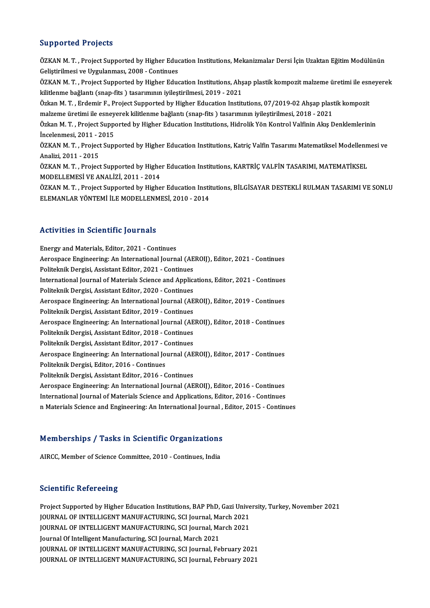# Supported Projects

Supported Projects<br>ÖZKAN M. T. , Project Supported by Higher Education Institutions, Mekanizmalar Dersi İçin Uzaktan Eğitim Modülünün<br>Celistirilmesi ve Uvgulanması, 2008, Centinues Bupportou Trojocce<br>ÖZKAN M. T. , Project Supported by Higher Educ<br>Geliştirilmesi ve Uygulanması, 2008 - Continues<br>ÖZKAN M. T. , Project Supported by Higher Educ ÖZKAN M. T. , Project Supported by Higher Education Institutions, Mekanizmalar Dersi İçin Uzaktan Eğitim Modülünün<br>Geliştirilmesi ve Uygulanması, 2008 - Continues<br>ÖZKAN M. T. , Project Supported by Higher Education Institu Geliştirilmesi ve Uygulanması, 2008 - Continues<br>ÖZKAN M. T. , Project Supported by Higher Education Institutions, Ahş<br>kilitlenme bağlantı (snap-fits ) tasarımının iyileştirilmesi, 2019 - 2021<br>Özkan M. T. , Erdemir E. Proje ÖZKAN M. T. , Project Supported by Higher Education Institutions, Ahşap plastik kompozit malzeme üretimi ile esn<br>kilitlenme bağlantı (snap-fits ) tasarımının iyileştirilmesi, 2019 - 2021<br>Özkan M. T. , Erdemir F., Project S kilitlenme bağlantı (snap-fits ) tasarımının iyileştirilmesi, 2019 - 2021<br>Özkan M. T. , Erdemir F., Project Supported by Higher Education Institutions, 07/2019-02 Ahşap plastik kompozit<br>malzeme üretimi ile esneyerek kilitl Özkan M. T. , Erdemir F., Project Supported by Higher Education Institutions, 07/2019-02 Ahşap plastik kompozit<br>malzeme üretimi ile esneyerek kilitlenme bağlantı (snap-fits ) tasarımının iyileştirilmesi, 2018 - 2021<br>Özkan malzeme üretimi ile esney<br>Özkan M. T. , Project Suppe<br>İncelenmesi, 2011 - 2015<br>ÖZKAN M. T. , Project Supp Özkan M. T. , Project Supported by Higher Education Institutions, Hidrolik Yön Kontrol Valfinin Akış Denklemlerinin<br>İncelenmesi, 2011 - 2015<br>ÖZKAN M. T. , Project Supported by Higher Education Institutions, Katriç Valfin T İncelenmesi, 2011 - 2<br>ÖZKAN M. T. , Project<br>Analizi, 2011 - 2015<br>ÖZKAN M. T. - Project ÖZKAN M. T. , Project Supported by Higher Education Institutions, Katriç Valfin Tasarımı Matematiksel Modellenn<br>Analizi, 2011 - 2015<br>ÖZKAN M. T. , Project Supported by Higher Education Institutions, KARTRİÇ VALFİN TASARIMI Analizi, 2011 - 2015<br>ÖZKAN M. T. , Project Supported by Higher Education Institutions, KARTRİÇ VALFİN TASARIMI, MATEMATİKSEL<br>MODELLEMESİ VE ANALİZİ, 2011 - 2014 ÖZKAN M. T. , Project Supported by Higher Education Institutions, KARTRİÇ VALFİN TASARIMI, MATEMATİKSEL<br>MODELLEMESİ VE ANALİZİ, 2011 - 2014<br>ÖZKAN M. T. , Project Supported by Higher Education Institutions, BİLGİSAYAR DESTE MODELLEMESİ VE ANALİZİ, 2011 - 2014<br>ÖZKAN M. T. , Project Supported by Higher Education Instit<br>ELEMANLAR YÖNTEMİ İLE MODELLENMESİ, 2010 - 2014

# ELEMANLAR YÖNTEMİ İLE MODELLENMESİ, 2010 - 2014<br>Activities in Scientific Journals

Energy and Materials, Editor, 2021 - Continues Aerospace III Screenerine Journalis<br>Energy and Materials, Editor, 2021 - Continues<br>Aerospace Engineering: An International Journal (AEROIJ), Editor, 2021 - Continues<br>Relitelmik Dengisi, Assistant Editor, 2021 - Continues Energy and Materials, Editor, 2021 - Continues<br>Aerospace Engineering: An International Journal (AE<br>Politeknik Dergisi, Assistant Editor, 2021 - Continues<br>International Journal of Materials Science and Annlig Aerospace Engineering: An International Journal (AEROIJ), Editor, 2021 - Continues<br>Politeknik Dergisi, Assistant Editor, 2021 - Continues<br>International Journal of Materials Science and Applications, Editor, 2021 - Continue Politeknik Dergisi, Assistant Editor, 2021 - Continues<br>International Journal of Materials Science and Applica<br>Politeknik Dergisi, Assistant Editor, 2020 - Continues<br>Aspeapece Engineering: An International Journal (AE International Journal of Materials Science and Applications, Editor, 2021 - Continues<br>Politeknik Dergisi, Assistant Editor, 2020 - Continues<br>Aerospace Engineering: An International Journal (AEROIJ), Editor, 2019 - Continue Politeknik Dergisi, Assistant Editor, 2020 - Continues<br>Aerospace Engineering: An International Journal (AEROIJ), Editor, 2019 - Continues<br>Politeknik Dergisi, Assistant Editor, 2019 - Continues Aerospace Engineering: An International Journal (AEROIJ), Editor, 2019 - Continues<br>Politeknik Dergisi, Assistant Editor, 2019 - Continues<br>Aerospace Engineering: An International Journal (AEROIJ), Editor, 2018 - Continues<br>P Politeknik Dergisi, Assistant Editor, 2019 - Continues<br>Aerospace Engineering: An International Journal (AE<br>Politeknik Dergisi, Assistant Editor, 2013 - Continues<br>Politeknik Dergisi, Assistant Editor, 2017 - Continues Aerospace Engineering: An International Journal (AE<br>Politeknik Dergisi, Assistant Editor, 2018 - Continues<br>Politeknik Dergisi, Assistant Editor, 2017 - Continues<br>Aerospace Engineering: An International Journal (AE Politeknik Dergisi, Assistant Editor, 2018 - Continues<br>Politeknik Dergisi, Assistant Editor, 2017 - Continues<br>Aerospace Engineering: An International Journal (AEROIJ), Editor, 2017 - Continues<br>Politeknik Dergisi, Editor, 2 Politeknik Dergisi, Assistant Editor, 2017 - C<br>Aerospace Engineering: An International Jo<br>Politeknik Dergisi, Editor, 2016 - Continues<br>Politeknik Dergisi, Assistant Editor, 2016 - C Aerospace Engineering: An International Journal (AE<br>Politeknik Dergisi, Editor, 2016 - Continues<br>Politeknik Dergisi, Assistant Editor, 2016 - Continues<br>Asrespace Engineering: An International Journal (AE Politeknik Dergisi, Editor, 2016 - Continues<br>Politeknik Dergisi, Assistant Editor, 2016 - Continues<br>Aerospace Engineering: An International Journal (AEROIJ), Editor, 2016 - Continues<br>International Journal of Metarials Scie Politeknik Dergisi, Assistant Editor, 2016 - Continues<br>Aerospace Engineering: An International Journal (AEROIJ), Editor, 2016 - Continues<br>International Journal of Materials Science and Applications, Editor, 2016 - Continue Aerospace Engineering: An International Journal (AEROIJ), Editor, 2016 - Continues<br>International Journal of Materials Science and Applications, Editor, 2016 - Continues<br>n Materials Science and Engineering: An International

# n materiais science and Engineering: An international journal ,<br>Memberships / Tasks in Scientific Organizations Memberships / Tasks in Scientific Organizations<br>AIRCC, Member of Science Committee, 2010 - Continues, India

AIRCC, Member of Science Committee, 2010 - Continues, India<br>Scientific Refereeing

Project Supported by Higher Education Institutions, BAP PhD, Gazi University, Turkey, November 2021 Defermente Refer oorlog<br>Project Supported by Higher Education Institutions, BAP PhD, Gazi Unive<br>JOURNAL OF INTELLIGENT MANUFACTURING, SCI Journal, March 2021<br>JOURNAL OF INTELLIGENT MANUFACTURING, SCI Journal, March 2021 Project Supported by Higher Education Institutions, BAP PhD, Gazi Unive<br>JOURNAL OF INTELLIGENT MANUFACTURING, SCI Journal, March 2021<br>JOURNAL OF INTELLIGENT MANUFACTURING, SCI Journal, March 2021<br>Journal Of Intelligent Man JOURNAL OF INTELLIGENT MANUFACTURING, SCI Journal, Ma<br>JOURNAL OF INTELLIGENT MANUFACTURING, SCI Journal, Ma<br>Journal Of Intelligent Manufacturing, SCI Journal, March 2021<br>JOURNAL OF INTELLIGENT MANUFACTURING, SCI Journal, F JOURNAL OF INTELLIGENT MANUFACTURING, SCI Journal, March 2021<br>Journal Of Intelligent Manufacturing, SCI Journal, March 2021<br>JOURNAL OF INTELLIGENT MANUFACTURING, SCI Journal, February 2021 JOURNAL OF INTELLIGENT MANUFACTURING, SCI Journal, February 2021